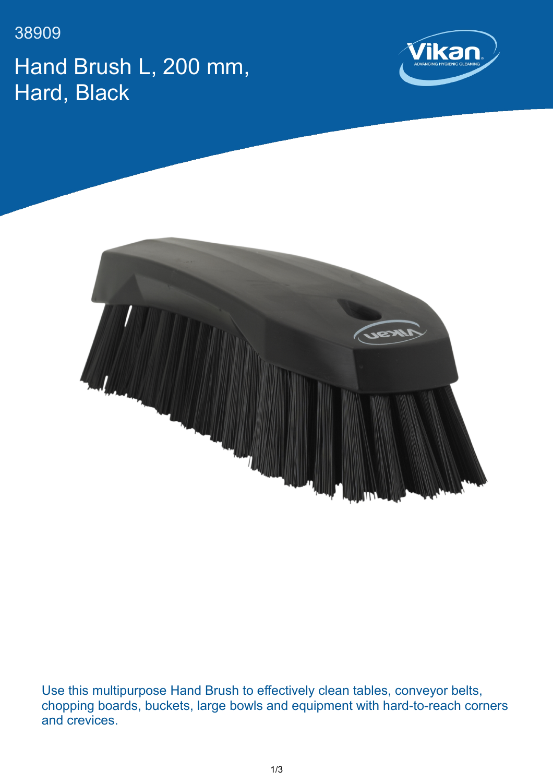38909 Hand Brush L, 200 mm, Hard, Black





Use this multipurpose Hand Brush to effectively clean tables, conveyor belts, chopping boards, buckets, large bowls and equipment with hard-to-reach corners and crevices.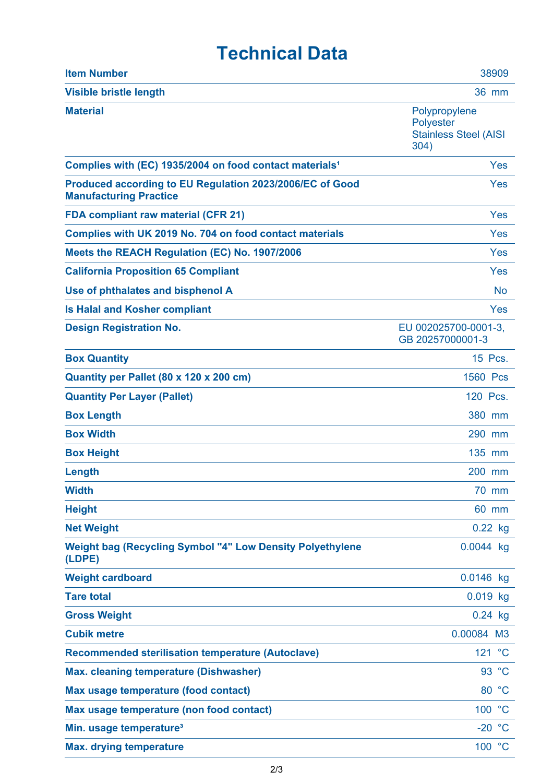## **Technical Data**

| <b>Item Number</b>                                                                        | 38909                                                                     |
|-------------------------------------------------------------------------------------------|---------------------------------------------------------------------------|
| <b>Visible bristle length</b>                                                             | <b>36 mm</b>                                                              |
| <b>Material</b>                                                                           | Polypropylene<br><b>Polyester</b><br><b>Stainless Steel (AISI</b><br>304) |
| Complies with (EC) 1935/2004 on food contact materials <sup>1</sup>                       | Yes                                                                       |
| Produced according to EU Regulation 2023/2006/EC of Good<br><b>Manufacturing Practice</b> | Yes                                                                       |
| <b>FDA compliant raw material (CFR 21)</b>                                                | Yes                                                                       |
| Complies with UK 2019 No. 704 on food contact materials                                   | Yes                                                                       |
| Meets the REACH Regulation (EC) No. 1907/2006                                             | Yes                                                                       |
| <b>California Proposition 65 Compliant</b>                                                | Yes                                                                       |
| Use of phthalates and bisphenol A                                                         | <b>No</b>                                                                 |
| <b>Is Halal and Kosher compliant</b>                                                      | Yes                                                                       |
| <b>Design Registration No.</b>                                                            | EU 002025700-0001-3.<br>GB 20257000001-3                                  |
| <b>Box Quantity</b>                                                                       | 15 Pcs.                                                                   |
| Quantity per Pallet (80 x 120 x 200 cm)                                                   | 1560 Pcs                                                                  |
| <b>Quantity Per Layer (Pallet)</b>                                                        | 120 Pcs.                                                                  |
| <b>Box Length</b>                                                                         | 380 mm                                                                    |
| <b>Box Width</b>                                                                          | 290 mm                                                                    |
| <b>Box Height</b>                                                                         | 135 mm                                                                    |
| Length                                                                                    | 200 mm                                                                    |
| <b>Width</b>                                                                              | 70 mm                                                                     |
| <b>Height</b>                                                                             | 60 mm                                                                     |
| <b>Net Weight</b>                                                                         | $0.22$ kg                                                                 |
| <b>Weight bag (Recycling Symbol "4" Low Density Polyethylene</b><br>(LDPE)                | 0.0044 kg                                                                 |
| <b>Weight cardboard</b>                                                                   | $0.0146$ kg                                                               |
| <b>Tare total</b>                                                                         | $0.019$ kg                                                                |
| <b>Gross Weight</b>                                                                       | $0.24$ kg                                                                 |
| <b>Cubik metre</b>                                                                        | 0.00084 M3                                                                |
| <b>Recommended sterilisation temperature (Autoclave)</b>                                  | 121 °C                                                                    |
| <b>Max. cleaning temperature (Dishwasher)</b>                                             | 93 °C                                                                     |
| Max usage temperature (food contact)                                                      | 80 °C                                                                     |
| Max usage temperature (non food contact)                                                  | 100 °C                                                                    |
| Min. usage temperature <sup>3</sup>                                                       | $-20$<br>$^{\circ}$ C                                                     |
| <b>Max. drying temperature</b>                                                            | 100 °C                                                                    |